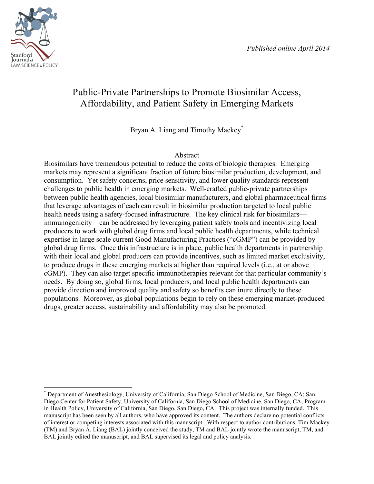

# Public-Private Partnerships to Promote Biosimilar Access, Affordability, and Patient Safety in Emerging Markets

Bryan A. Liang and Timothy Mackey\*

## Abstract

Biosimilars have tremendous potential to reduce the costs of biologic therapies. Emerging markets may represent a significant fraction of future biosimilar production, development, and consumption. Yet safety concerns, price sensitivity, and lower quality standards represent challenges to public health in emerging markets. Well-crafted public-private partnerships between public health agencies, local biosimilar manufacturers, and global pharmaceutical firms that leverage advantages of each can result in biosimilar production targeted to local public health needs using a safety-focused infrastructure. The key clinical risk for biosimilars immunogenicity—can be addressed by leveraging patient safety tools and incentivizing local producers to work with global drug firms and local public health departments, while technical expertise in large scale current Good Manufacturing Practices ("cGMP") can be provided by global drug firms. Once this infrastructure is in place, public health departments in partnership with their local and global producers can provide incentives, such as limited market exclusivity, to produce drugs in these emerging markets at higher than required levels (i.e., at or above cGMP). They can also target specific immunotherapies relevant for that particular community's needs. By doing so, global firms, local producers, and local public health departments can provide direction and improved quality and safety so benefits can inure directly to these populations. Moreover, as global populations begin to rely on these emerging market-produced drugs, greater access, sustainability and affordability may also be promoted.

 \* Department of Anesthesiology, University of California, San Diego School of Medicine, San Diego, CA; San Diego Center for Patient Safety, University of California, San Diego School of Medicine, San Diego, CA; Program in Health Policy, University of California, San Diego, San Diego, CA. This project was internally funded. This manuscript has been seen by all authors, who have approved its content. The authors declare no potential conflicts of interest or competing interests associated with this manuscript. With respect to author contributions, Tim Mackey (TM) and Bryan A. Liang (BAL) jointly conceived the study, TM and BAL jointly wrote the manuscript, TM, and BAL jointly edited the manuscript, and BAL supervised its legal and policy analysis.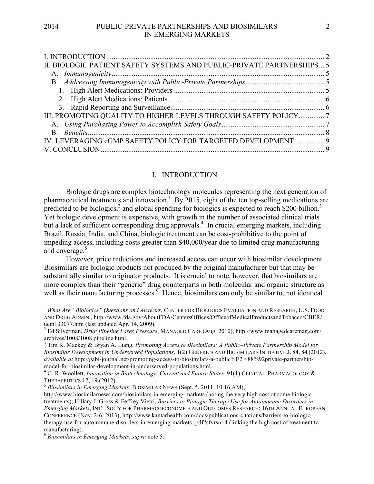| II. BIOLOGIC PATIENT SAFETY SYSTEMS AND PUBLIC-PRIVATE PARTNERSHIPS 5 |  |
|-----------------------------------------------------------------------|--|
|                                                                       |  |
|                                                                       |  |
|                                                                       |  |
|                                                                       |  |
|                                                                       |  |
| III. PROMOTING QUALITY TO HIGHER LEVELS THROUGH SAFETY POLICY 7       |  |
|                                                                       |  |
|                                                                       |  |
| IV. LEVERAGING cGMP SAFETY POLICY FOR TARGETED DEVELOPMENT  9         |  |
|                                                                       |  |
|                                                                       |  |

#### I. INTRODUCTION

Biologic drugs are complex biotechnology molecules representing the next generation of pharmaceutical treatments and innovation.<sup>1</sup> By 2015, eight of the ten top-selling medications are predicted to be biologics,<sup>2</sup> and global spending for biologics is expected to reach \$200 billion.<sup>3</sup> Yet biologic development is expensive, with growth in the number of associated clinical trials but a lack of sufficient corresponding drug approvals.<sup>4</sup> In crucial emerging markets, including Brazil, Russia, India, and China, biologic treatment can be cost-prohibitive to the point of impeding access, including costs greater than \$40,000/year due to limited drug manufacturing and coverage.<sup>5</sup>

However, price reductions and increased access can occur with biosimilar development. Biosimilars are biologic products not produced by the original manufacturer but that may be substantially similar to originator products. It is crucial to note, however, that biosimilars are more complex than their "generic" drug counterparts in both molecular and organic structure as well as their manufacturing processes.<sup>6</sup> Hence, biosimilars can only be similar to, not identical

 <sup>1</sup> *What Are "Biologics" Questions and Answers*, CENTER FOR BIOLOGICS EVALUATION AND RESEARCH, U.S. FOOD AND DRUG ADMIN., http://www.fda.gov/AboutFDA/CentersOffices/OfficeofMedicalProductsandTobacco/CBER/ ucm133077.htm (last updated Apr. 14, 2009).

<sup>2</sup> Ed Silverman, *Drug Pipeline Loses Pressure*, MANAGED CARE (Aug. 2010), http://www.managedcaremag.com/ archives/1008/1008.pipeline.html.

<sup>3</sup> Tim K. Mackey & Bryan A. Liang, *Promoting Access to Biosimilars: A Public–Private Partnership Model for Biosimilar Development in Underserved Populations*, 1(2) GENERICS AND BIOSIMILARS INITIATIVE J. 84, 84 (2012), *available at* http://gabi-journal.net/promoting-access-to-biosimilars-a-public%E2%88%92private-partnershipmodel-for-biosimilar-development-in-underserved-populations.html. <sup>4</sup> G. R. Woollett, *Innovation in Biotechnology: Current and Future States*, 91(1) CLINICAL PHARMACOLOGY &

THERAPEUTICS 17, 19 (2012). <sup>5</sup> *Biosimilars in Emerging Markets*, BIOSIMILAR NEWS (Sept. 5, 2011, 10:16 AM),

http://www.biosimilarnews.com/biosimilars-in-emerging-markets (noting the very high cost of some biologic treatments); Hillary J. Gross & Feffrey Vietri, *Barriers to Biologic Therapy Use for Autoimmune Disorders in Emerging Markets*, INT'L SOC'Y FOR PHARMACOECONOMICS AND OUTCOMES RESEARCH: 16TH ANNUAL EUROPEAN CONFERENCE (Nov. 2-6, 2013), http://www.kantarhealth.com/docs/publications-citations/barriers-to-biologictherapy-use-for-autoimmune-disorders-in-emerging-markets-.pdf?sfvrsn=4 (linking the high cost of treatment to manufacturing).

<sup>6</sup> *Biosimilars in Emerging Markets*, *supra* note 5.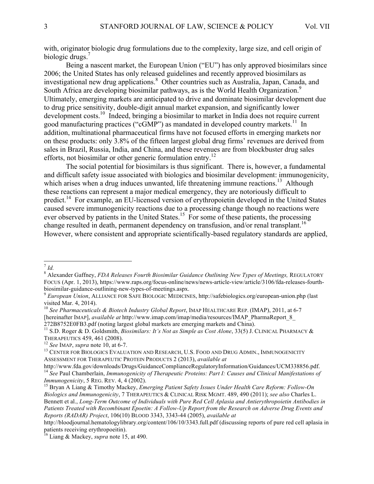with, originator biologic drug formulations due to the complexity, large size, and cell origin of biologic drugs. $<sup>7</sup>$ </sup>

Being a nascent market, the European Union ("EU") has only approved biosimilars since 2006; the United States has only released guidelines and recently approved biosimilars as investigational new drug applications.<sup>8</sup> Other countries such as Australia, Japan, Canada, and South Africa are developing biosimilar pathways, as is the World Health Organization.<sup>9</sup> Ultimately, emerging markets are anticipated to drive and dominate biosimilar development due to drug price sensitivity, double-digit annual market expansion, and significantly lower development costs.<sup>10</sup> Indeed, bringing a biosimilar to market in India does not require current good manufacturing practices ("cGMP") as mandated in developed country markets.<sup>11</sup> In addition, multinational pharmaceutical firms have not focused efforts in emerging markets nor on these products: only 3.8% of the fifteen largest global drug firms' revenues are derived from sales in Brazil, Russia, India, and China, and these revenues are from blockbuster drug sales efforts, not biosimilar or other generic formulation entry.<sup>12</sup>

The social potential for biosimilars is thus significant. There is, however, a fundamental and difficult safety issue associated with biologics and biosimilar development: immunogenicity, which arises when a drug induces unwanted, life threatening immune reactions.<sup>13</sup> Although these reactions can represent a major medical emergency, they are notoriously difficult to predict.<sup>14</sup> For example, an EU-licensed version of erythropoietin developed in the United States caused severe immunogenicity reactions due to a processing change though no reactions were ever observed by patients in the United States.<sup>15</sup> For some of these patients, the processing change resulted in death, permanent dependency on transfusion, and/or renal transplant.<sup>16</sup> However, where consistent and appropriate scientifically-based regulatory standards are applied,

 <sup>7</sup> *Id.*

<sup>&</sup>lt;sup>8</sup> Alexander Gaffney, *FDA Releases Fourth Biosimilar Guidance Outlining New Types of Meetings, REGULATORY* FOCUS (Apr. 1, 2013), https://www.raps.org/focus-online/news/news-article-view/article/3106/fda-releases-fourthbiosimilar-guidance-outlining-new-types-of-meetings.aspx. <sup>9</sup> *European Union*, ALLIANCE FOR SAFE BIOLOGIC MEDICINES, http://safebiologics.org/european-union.php (last

visited Mar. 4, 2014).

<sup>10</sup> *See Pharmaceuticals & Biotech Industry Global Report*, IMAP HEALTHCARE REP. (IMAP), 2011, at 6-7 [hereinafter IMAP], *available at* http://www.imap.com/imap/media/resources/IMAP\_PharmaReport\_8\_

<sup>&</sup>lt;sup>11</sup> S.D. Roger & D. Goldsmith, *Biosimilars: It's Not as Simple as Cost Alone*, 33(5) J. CLINICAL PHARMACY & THERAPEUTICS 459, 461 (2008).<br><sup>12</sup> *See* IMAP, *supra* note 10, at 6-7.<br><sup>13</sup> CENTER FOR BIOLOGICS EVALUATION AND RESEARCH, U.S. FOOD AND DRUG ADMIN., IMMUNOGENICITY

ASSESSMENT FOR THERAPEUTIC PROTEIN PRODUCTS 2 (2013), *available at*

http://www.fda.gov/downloads/Drugs/GuidanceComplianceRegulatoryInformation/Guidances/UCM338856.pdf. <sup>14</sup> *See* Paul Chamberlain, *Immunogenicity of Therapeutic Proteins: Part I: Causes and Clinical Manifestations of <i>Immunogenicity*, 5 REG. REV. 4, 4 (2002).

<sup>&</sup>lt;sup>15</sup> Bryan A Liang & Timothy Mackey, *Emerging Patient Safety Issues Under Health Care Reform: Follow-On Biologics and Immunogenicity*, 7 THERAPEUTICS & CLINICAL RISK MGMT. 489, 490 (2011); *see also* Charles L. Bennett et al., *Long-Term Outcome of Individuals with Pure Red Cell Aplasia and Antierythropoietin Antibodies in Patients Treated with Recombinant Epoetin: A Follow-Up Report from the Research on Adverse Drug Events and Reports (RADAR) Project*, 106(10) BLOOD 3343, 3343-44 (2005), *available at*

http://bloodjournal.hematologylibrary.org/content/106/10/3343.full.pdf (discussing reports of pure red cell aplasia in patients receiving erythropoeitin).

<sup>16</sup> Liang & Mackey, *supra* note 15, at 490.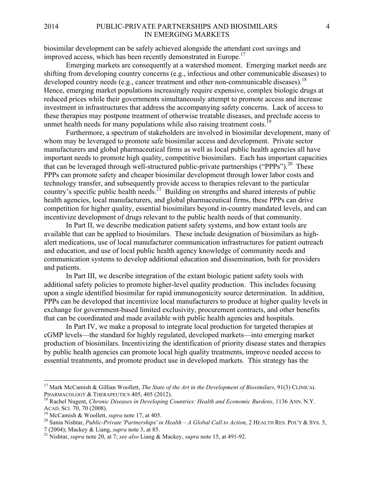#### 2014 PUBLIC-PRIVATE PARTNERSHIPS AND BIOSIMILARS 4 IN EMERGING MARKETS

biosimilar development can be safely achieved alongside the attendant cost savings and improved access, which has been recently demonstrated in Europe.<sup>17</sup>

Emerging markets are consequently at a watershed moment. Emerging market needs are shifting from developing country concerns (e.g., infectious and other communicable diseases) to developed country needs (e.g., cancer treatment and other non-communicable diseases).<sup>18</sup> Hence, emerging market populations increasingly require expensive, complex biologic drugs at reduced prices while their governments simultaneously attempt to promote access and increase investment in infrastructures that address the accompanying safety concerns. Lack of access to these therapies may postpone treatment of otherwise treatable diseases, and preclude access to unmet health needs for many populations while also raising treatment costs.<sup>19</sup>

Furthermore, a spectrum of stakeholders are involved in biosimilar development, many of whom may be leveraged to promote safe biosimilar access and development. Private sector manufacturers and global pharmaceutical firms as well as local public health agencies all have important needs to promote high quality, competitive biosimilars. Each has important capacities that can be leveraged through well-structured public-private partnerships ("PPPs").<sup>20</sup> These PPPs can promote safety and cheaper biosimilar development through lower labor costs and technology transfer, and subsequently provide access to therapies relevant to the particular country's specific public health needs.<sup>21</sup> Building on strengths and shared interests of public health agencies, local manufacturers, and global pharmaceutical firms, these PPPs can drive competition for higher quality, essential biosimilars beyond in-country mandated levels, and can incentivize development of drugs relevant to the public health needs of that community.

In Part II, we describe medication patient safety systems, and how extant tools are available that can be applied to biosimilars. These include designation of biosimilars as highalert medications, use of local manufacturer communication infrastructures for patient outreach and education, and use of local public health agency knowledge of community needs and communication systems to develop additional education and dissemination, both for providers and patients.

In Part III, we describe integration of the extant biologic patient safety tools with additional safety policies to promote higher-level quality production. This includes focusing upon a single identified biosimilar for rapid immunogenicity source determination. In addition, PPPs can be developed that incentivize local manufacturers to produce at higher quality levels in exchange for government-based limited exclusivity, procurement contracts, and other benefits that can be coordinated and made available with public health agencies and hospitals.

In Part IV, we make a proposal to integrate local production for targeted therapies at cGMP levels—the standard for highly regulated, developed markets—into emerging market production of biosimilars. Incentivizing the identification of priority disease states and therapies by public health agencies can promote local high quality treatments, improve needed access to essential treatments, and promote product use in developed markets. This strategy has the

<sup>&</sup>lt;sup>17</sup> Mark McCamish & Gillian Woollett, *The State of the Art in the Development of Biosimilars*, 91(3) CLINICAL PHARMACOLOGY & THERAPEUTICS 405, 405 (2012).

<sup>&</sup>lt;sup>18</sup> Rachel Nugent, *Chronic Diseases in Developing Countries: Health and Economic Burdens*, 1136 ANN, N.Y. ACAD. SCI. 70, 70 (2008).<br><sup>19</sup> McCamish & Woollett, *supra* note 17, at 405.<br><sup>20</sup> Sania Nishtar, *Public-Private 'Partnerships' in Health – A Global Call to Action*, 2 HEALTH RES. POL'Y & SYS. 5,<br>7 (2004); Mackey & Liang,

<sup>&</sup>lt;sup>21</sup> Nishtar, *supra* note 20, at 7; *see also Liang & Mackey, <i>supra* note 15, at 491-92.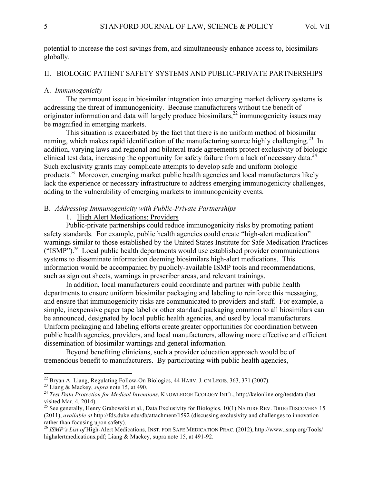potential to increase the cost savings from, and simultaneously enhance access to, biosimilars globally.

#### II. BIOLOGIC PATIENT SAFETY SYSTEMS AND PUBLIC-PRIVATE PARTNERSHIPS

#### A. *Immunogenicity*

The paramount issue in biosimilar integration into emerging market delivery systems is addressing the threat of immunogenicity. Because manufacturers without the benefit of originator information and data will largely produce biosimilars, $^{22}$  immunogenicity issues may be magnified in emerging markets.

This situation is exacerbated by the fact that there is no uniform method of biosimilar naming, which makes rapid identification of the manufacturing source highly challenging.<sup>23</sup> In addition, varying laws and regional and bilateral trade agreements protect exclusivity of biologic clinical test data, increasing the opportunity for safety failure from a lack of necessary data.<sup>24</sup> Such exclusivity grants may complicate attempts to develop safe and uniform biologic products.25 Moreover, emerging market public health agencies and local manufacturers likely lack the experience or necessary infrastructure to address emerging immunogenicity challenges, adding to the vulnerability of emerging markets to immunogenicity events.

#### B. *Addressing Immunogenicity with Public-Private Partnerships*

## 1. High Alert Medications: Providers

Public-private partnerships could reduce immunogenicity risks by promoting patient safety standards. For example, public health agencies could create "high-alert medication" warnings similar to those established by the United States Institute for Safe Medication Practices ("ISMP").26 Local public health departments would use established provider communications systems to disseminate information deeming biosimilars high-alert medications. This information would be accompanied by publicly-available ISMP tools and recommendations, such as sign out sheets, warnings in prescriber areas, and relevant trainings.

In addition, local manufacturers could coordinate and partner with public health departments to ensure uniform biosimilar packaging and labeling to reinforce this messaging, and ensure that immunogenicity risks are communicated to providers and staff. For example, a simple, inexpensive paper tape label or other standard packaging common to all biosimilars can be announced, designated by local public health agencies, and used by local manufacturers. Uniform packaging and labeling efforts create greater opportunities for coordination between public health agencies, providers, and local manufacturers, allowing more effective and efficient dissemination of biosimilar warnings and general information.

Beyond benefiting clinicians, such a provider education approach would be of tremendous benefit to manufacturers. By participating with public health agencies,

<sup>&</sup>lt;sup>22</sup> Bryan A. Liang, Regulating Follow-On Biologics, 44 HARV. J. ON LEGIS. 363, 371 (2007).<br><sup>23</sup> Liang & Mackey, *supra* note 15, at 490.<br><sup>24</sup> Test Data Protection for Medical Inventions, KNOWLEDGE ECOLOGY INT'L, http://k visited Mar. 4, 2014).

<sup>&</sup>lt;sup>25</sup> See generally, Henry Grabowski et al., Data Exclusivity for Biologics, 10(1) NATURE REV. DRUG DISCOVERY 15 (2011), *available at* http://fds.duke.edu/db/attachment/1592 (discussing exclusivity and challenges to innovation rather than focusing upon safety).

<sup>&</sup>lt;sup>26</sup> *ISMP's List of High-Alert Medications, INST. FOR SAFE MEDICATION PRAC.* (2012), http://www.ismp.org/Tools/ highalertmedications.pdf; Liang & Mackey, supra note 15, at 491-92.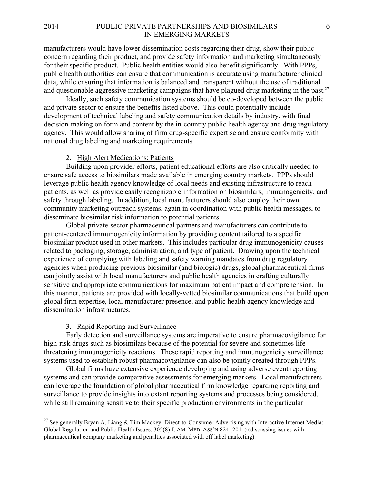#### 2014 PUBLIC-PRIVATE PARTNERSHIPS AND BIOSIMILARS 6 IN EMERGING MARKETS

manufacturers would have lower dissemination costs regarding their drug, show their public concern regarding their product, and provide safety information and marketing simultaneously for their specific product. Public health entities would also benefit significantly. With PPPs, public health authorities can ensure that communication is accurate using manufacturer clinical data, while ensuring that information is balanced and transparent without the use of traditional and questionable aggressive marketing campaigns that have plagued drug marketing in the past.<sup>27</sup>

Ideally, such safety communication systems should be co-developed between the public and private sector to ensure the benefits listed above. This could potentially include development of technical labeling and safety communication details by industry, with final decision-making on form and content by the in-country public health agency and drug regulatory agency. This would allow sharing of firm drug-specific expertise and ensure conformity with national drug labeling and marketing requirements.

## 2. High Alert Medications: Patients

Building upon provider efforts, patient educational efforts are also critically needed to ensure safe access to biosimilars made available in emerging country markets. PPPs should leverage public health agency knowledge of local needs and existing infrastructure to reach patients, as well as provide easily recognizable information on biosimilars, immunogenicity, and safety through labeling. In addition, local manufacturers should also employ their own community marketing outreach systems, again in coordination with public health messages, to disseminate biosimilar risk information to potential patients.

Global private-sector pharmaceutical partners and manufacturers can contribute to patient-centered immunogenicity information by providing content tailored to a specific biosimilar product used in other markets. This includes particular drug immunogenicity causes related to packaging, storage, administration, and type of patient. Drawing upon the technical experience of complying with labeling and safety warning mandates from drug regulatory agencies when producing previous biosimilar (and biologic) drugs, global pharmaceutical firms can jointly assist with local manufacturers and public health agencies in crafting culturally sensitive and appropriate communications for maximum patient impact and comprehension. In this manner, patients are provided with locally-vetted biosimilar communications that build upon global firm expertise, local manufacturer presence, and public health agency knowledge and dissemination infrastructures.

#### 3. Rapid Reporting and Surveillance

Early detection and surveillance systems are imperative to ensure pharmacovigilance for high-risk drugs such as biosimilars because of the potential for severe and sometimes lifethreatening immunogenicity reactions. These rapid reporting and immunogenicity surveillance systems used to establish robust pharmacovigilance can also be jointly created through PPPs.

Global firms have extensive experience developing and using adverse event reporting systems and can provide comparative assessments for emerging markets. Local manufacturers can leverage the foundation of global pharmaceutical firm knowledge regarding reporting and surveillance to provide insights into extant reporting systems and processes being considered, while still remaining sensitive to their specific production environments in the particular

<sup>&</sup>lt;sup>27</sup> See generally Bryan A. Liang & Tim Mackey, Direct-to-Consumer Advertising with Interactive Internet Media: Global Regulation and Public Health Issues, 305(8) J. AM. MED. ASS'N 824 (2011) (discussing issues with pharmaceutical company marketing and penalties associated with off label marketing).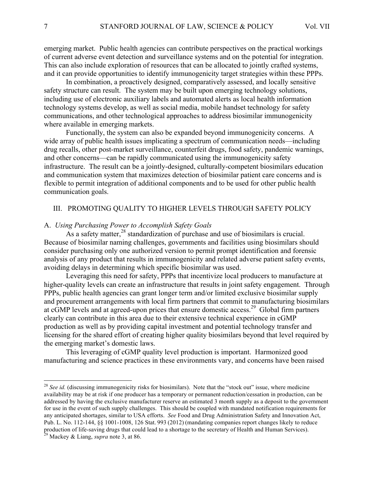emerging market. Public health agencies can contribute perspectives on the practical workings of current adverse event detection and surveillance systems and on the potential for integration. This can also include exploration of resources that can be allocated to jointly crafted systems, and it can provide opportunities to identify immunogenicity target strategies within these PPPs.

In combination, a proactively designed, comparatively assessed, and locally sensitive safety structure can result. The system may be built upon emerging technology solutions, including use of electronic auxiliary labels and automated alerts as local health information technology systems develop, as well as social media, mobile handset technology for safety communications, and other technological approaches to address biosimilar immunogenicity where available in emerging markets.

Functionally, the system can also be expanded beyond immunogenicity concerns. A wide array of public health issues implicating a spectrum of communication needs—including drug recalls, other post-market surveillance, counterfeit drugs, food safety, pandemic warnings, and other concerns—can be rapidly communicated using the immunogenicity safety infrastructure. The result can be a jointly-designed, culturally-competent biosimilars education and communication system that maximizes detection of biosimilar patient care concerns and is flexible to permit integration of additional components and to be used for other public health communication goals.

## III. PROMOTING QUALITY TO HIGHER LEVELS THROUGH SAFETY POLICY

## A. *Using Purchasing Power to Accomplish Safety Goals*

As a safety matter,  $^{28}$  standardization of purchase and use of biosimilars is crucial. Because of biosimilar naming challenges, governments and facilities using biosimilars should consider purchasing only one authorized version to permit prompt identification and forensic analysis of any product that results in immunogenicity and related adverse patient safety events, avoiding delays in determining which specific biosimilar was used.

Leveraging this need for safety, PPPs that incentivize local producers to manufacture at higher-quality levels can create an infrastructure that results in joint safety engagement. Through PPPs, public health agencies can grant longer term and/or limited exclusive biosimilar supply and procurement arrangements with local firm partners that commit to manufacturing biosimilars at cGMP levels and at agreed-upon prices that ensure domestic access.<sup>29</sup> Global firm partners clearly can contribute in this area due to their extensive technical experience in cGMP production as well as by providing capital investment and potential technology transfer and licensing for the shared effort of creating higher quality biosimilars beyond that level required by the emerging market's domestic laws.

This leveraging of cGMP quality level production is important. Harmonized good manufacturing and science practices in these environments vary, and concerns have been raised

<sup>&</sup>lt;sup>28</sup> See id. (discussing immunogenicity risks for biosimilars). Note that the "stock out" issue, where medicine availability may be at risk if one producer has a temporary or permanent reduction/cessation in production, can be addressed by having the exclusive manufacturer reserve an estimated 3 month supply as a deposit to the government for use in the event of such supply challenges. This should be coupled with mandated notification requirements for any anticipated shortages, similar to USA efforts. *See* Food and Drug Administration Safety and Innovation Act, Pub. L. No. 112-144, §§ 1001-1008, 126 Stat. 993 (2012) (mandating companies report changes likely to reduce production of life-saving drugs that could lead to a shortage to the secretary of Health and Human Services). 29 Mackey & Liang, *supra* note 3, at 86.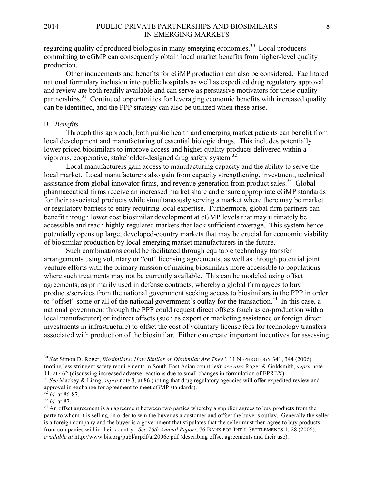regarding quality of produced biologics in many emerging economies.<sup>30</sup> Local producers committing to cGMP can consequently obtain local market benefits from higher-level quality production.

Other inducements and benefits for cGMP production can also be considered. Facilitated national formulary inclusion into public hospitals as well as expedited drug regulatory approval and review are both readily available and can serve as persuasive motivators for these quality partnerships.<sup>31</sup> Continued opportunities for leveraging economic benefits with increased quality can be identified, and the PPP strategy can also be utilized when these arise.

#### B. *Benefits*

Through this approach, both public health and emerging market patients can benefit from local development and manufacturing of essential biologic drugs. This includes potentially lower priced biosimilars to improve access and higher quality products delivered within a vigorous, cooperative, stakeholder-designed drug safety system.<sup>32</sup>

Local manufacturers gain access to manufacturing capacity and the ability to serve the local market. Local manufacturers also gain from capacity strengthening, investment, technical assistance from global innovator firms, and revenue generation from product sales.<sup>33</sup> Global pharmaceutical firms receive an increased market share and ensure appropriate cGMP standards for their associated products while simultaneously serving a market where there may be market or regulatory barriers to entry requiring local expertise. Furthermore, global firm partners can benefit through lower cost biosimilar development at cGMP levels that may ultimately be accessible and reach highly-regulated markets that lack sufficient coverage. This system hence potentially opens up large, developed-country markets that may be crucial for economic viability of biosimilar production by local emerging market manufacturers in the future.

Such combinations could be facilitated through equitable technology transfer arrangements using voluntary or "out" licensing agreements, as well as through potential joint venture efforts with the primary mission of making biosimilars more accessible to populations where such treatments may not be currently available. This can be modeled using offset agreements, as primarily used in defense contracts, whereby a global firm agrees to buy products/services from the national government seeking access to biosimilars in the PPP in order to "offset" some or all of the national government's outlay for the transaction.<sup>34</sup> In this case, a national government through the PPP could request direct offsets (such as co-production with a local manufacturer) or indirect offsets (such as export or marketing assistance or foreign direct investments in infrastructure) to offset the cost of voluntary license fees for technology transfers associated with production of the biosimilar. Either can create important incentives for assessing

 <sup>30</sup> *See* Simon D. Roger, *Biosimilars: How Similar or Dissimilar Are They?*, 11 NEPHROLOGY 341, 344 (2006) (noting less stringent safety requirements in South-East Asian countries); *see also* Roger & Goldsmith, *supra* note

<sup>11,</sup> at 462 (discussing increased adverse reactions due to small changes in formulation of EPREX). <sup>31</sup> *See* Mackey & Liang, *supra* note 3, at 86 (noting that drug regulatory agencies will offer expedited review and approval in exchange for agreement to meet cGMP standards).

<sup>&</sup>lt;sup>32</sup> *Id.* at 86-87.<br><sup>33</sup> *Id.* at 87.<br><sup>34</sup> An offset agreement is an agreement between two parties whereby a supplier agrees to buy products from the party to whom it is selling, in order to win the buyer as a customer and offset the buyer's outlay. Generally the seller is a foreign company and the buyer is a government that stipulates that the seller must then agree to buy products from companies within their country. *See 76th Annual Report*, 76 BANK FOR INT'L SETTLEMENTS 1, 28 (2006), *available at* http://www.bis.org/publ/arpdf/ar2006e.pdf (describing offset agreements and their use).